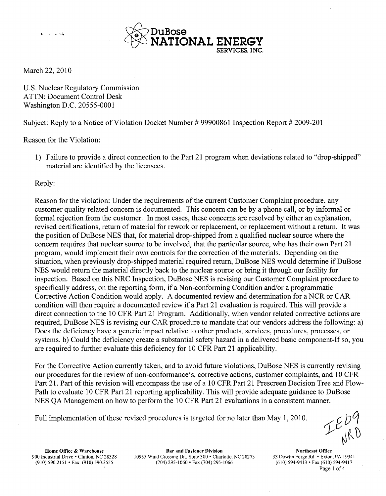

March 22, 2010

 $2 - 1 = 43$ 

U.S. Nuclear Regulatory Commission ATTN: Document Control Desk Washington D.C. 20555-0001

Subject: Reply to a Notice of Violation Docket Number # 99900861 Inspection Report # 2009-201

Reason for the Violation:

1) Failure to provide a direct connection to the Part 21 program when deviations related to "drop-shipped" material are identified by the licensees.

Reply:

Reason for the violation: Under the requirements of the current Customer Complaint procedure, any customer quality related concern is documented. This concern can be by a phone call, or by informal or formal rejection from the customer. In most cases, these concerns are resolved by either an explanation, revised certifications, return of material for rework or replacement, or replacement without a return. It was the position of DuBose NES that, for material drop-shipped from a qualified nuclear source where the concern requires that nuclear source to be involved, that the particular source, who has their own Part 21 program, would implement their own controls for the correction of the materials. Depending on the situation, when previously drop-shipped material required return, DuBose NES would determine if DuBose NES would return the material directly back to the nuclear source or bring it through our facility for inspection. Based on this NRC Inspection, DuBose NES is revising our Customer Complaint procedure to specifically address, on the reporting form, if a Non-conforming Condition and/or a programmatic Corrective Action Condition would apply. A documented review and determination for a NCR or CAR condition will then require a documented review if a Part 21 evaluation is required. This will provide a direct connection to the 10 CFR Part 21 Program. Additionally, when vendor related corrective actions are required, DuBose NES is revising our CAR procedure to mandate that our vendors address the following: a) Does the deficiency have a generic impact relative to other products, services, procedures, processes, or systems. b) Could the deficiency create a substantial safety hazard in a delivered basic component-If so, you are required to further evaluate this deficiency for 10 CFR Part 21 applicability.

For the Corrective Action currently taken, and to avoid future violations, DuBose NES is currently revising our procedures for the review of non-conformance's, corrective actions, customer complaints, and 10 CFR Part 21. Part of this revision will encompass the use of a 10 CFR Part 21 Prescreen Decision Tree and Flow-Path to evaluate 10 CFR Part 21 reporting applicability. This will provide adequate guidance to DuBose NES QA Management on how to perform the 10 CFR Part 21 evaluations in a consistent manner.

Full implementation of these revised procedures is targeted for no later than May 1,2010.

Home Office & Warehouse **Bar and Fastener Division** Northeast Office<br>Industrial Drive • Clinton, NC 28328 10955 Wind Crossing Dr., Suite 300 • Charlotte, NC 28273 33 Dowlin Forge Rd. • Exton, PA 19341 900 Industrial Drive • Clinton, NC 28328 10955 Wind Crossing Dr., Suite **300** • Charlotte, NC 28273 33 Dowlin Forge Rd. \* Exton, PA 19341 (910) 590.2151 • Fax: (910) 590.3555 (704) 295-1060 • Fax (704) 295-1066

**1** Page 1 of 4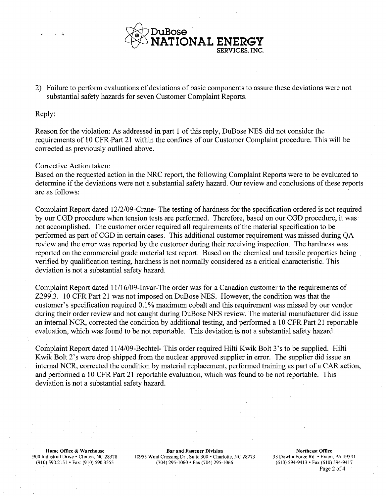

2) Failure to perform evaluations of deviations of basic components to assure these deviations were not substantial safety hazards for seven Customer Complaint Reports.

## Reply:

Reason for the violation: As addressed in part 1 of this reply, DuBose NES did not consider the requirements of 10 CFR Part 21 within the confines of our Customer Complaint procedure. This will be corrected as previously outlined above.

## Corrective Action taken:

Based on the requested action in the NRC report, the following Complaint Reports were to be evaluated to determine if the deviations were not a substantial safety hazard. Our review and conclusions of these reports are as follows:

Complaint Report dated 12/2/09-Crane- The testing of hardness for the specification ordered is not required by our CGD procedure when tension tests are performed. Therefore, based on our CGD procedure, it was not accomplished. The customer order required all requirements of the material specification to be performed as part of CGD in certain cases. This additional customer requirement was missed during QA review and the error was reported by the customer during their receiving inspection. The hardness was reported on the commercial grade material test report. Based on the chemical and tensile properties being verified by qualification testing, hardness is not normally considered as a critical characteristic. This deviation is not a substantial safety hazard.

Complaint Report dated 1 1/16/09-Invar-The order was for a Canadian customer to the requirements of Z299.3. 10 CFR Part 21 was not imposed on DuBose NES. However, the condition was that the customer's specification required 0.1% maximum cobalt and this requirement was missed by our vendor during their order review and not caught during DuBose NES review. The material manufacturer did issue an internal NCR, corrected the condition by additional testing, and performed a 10 CFR Part 21 reportable evaluation, which was found to be not reportable. This deviation is not a substantial safety hazard.

Complaint Report dated 11/4/09-Bechtel- This order required Hilti Kwik Bolt 3's to be supplied. Hilti Kwik Bolt 2's were drop shipped from the nuclear approved supplier in error. The supplier did issue an internal NCR, corrected the condition by material replacement, performed training as part of a CAR action, and performed a 10 CFR Part 21 reportable evaluation, which was found to be not reportable. This deviation is not a substantial safety hazard.

Home Office **&** Warehouse Bar and Fastener Division Northeast **Office** 900 Industrial Drive. • Clinton, NC 28328 10955 Wind Crossing Dr., Suite 300 • Charlotte, NC 28273 33 Dowlin Forge Rd. • Exton, PA 19341<br>(910) 590.2151 • Fax: (910) 590.3555 (704) 295-1060 • Fax (704) 295-1066 (610) 594-9 (910) 590.2151 • Fax: (910) 590.3555 (704) 295-1060 • Fax (704) 295-1066

Page 2 of 4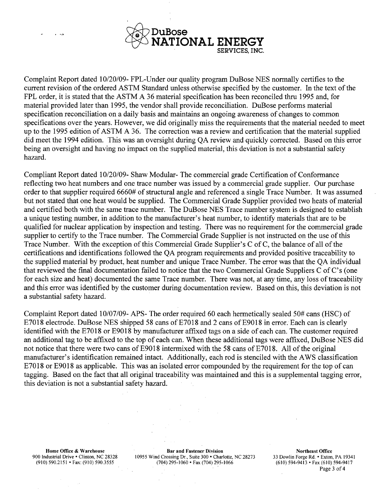

Complaint Report dated 10/20/09- FPL-Under our quality program DuBose NES normally certifies to the current revision of the ordered ASTM Standard unless otherwise specified by the customer. In the text of the FPL order, it is stated that the ASTM A 36 material specification has been reconciled thru 1995 and, for material provided later than 1995, the vendor shall provide reconciliation. DuBose performs material specification reconciliation on a daily basis and maintains an ongoing awareness of changes to common specifications over the years. However, we did originally miss the requirements that the material needed to meet up to the 1995 edition of ASTM A 36. The correction was a review and certification that the material supplied did meet the 1994 edition. This was an oversight during QA review and quickly corrected. Based on this error being an oversight and having no impact on the supplied material, this deviation is not a substantial safety hazard.

Compliant Report dated 10/20/09- Shaw Modular- The commercial grade Certification of Conformance reflecting two heat numbers and one trace number was issued by a commercial grade supplier. Our purchase order to that supplier required 6660# of structural angle and referenced a single Trace Number. It was assumed but not stated that one heat would be supplied. The Commercial Grade Supplier provided two heats of material and certified both with the same trace number. The DuBose NES Trace number system is designed to establish a unique testing number, in addition to the manufacturer's heat number, to identify materials that are to be qualified for nuclear application by inspection and testing. There was no requirement for the commercial grade supplier to certify to the Trace number. The Commercial Grade Supplier is not instructed on the use of this Trace Number. With the exception of this Commercial Grade Supplier's C of C, the balance of all of the certifications and identifications followed the QA program requirements and provided positive traceability to the supplied material by product, heat number and unique Trace Number. The error was that the QA individual that reviewed the final documentation failed to notice that the two Commercial Grade Suppliers C of C's (one for each size and heat) documented the same Trace number. There was not, at any time, any loss of traceability and this error was identified by the customer during documentation review. Based on this, this deviation is not a substantial safety hazard.

Complaint Report dated 10/07/09- APS- The order required 60 each hermetically sealed 50# cans (HSC) of E7018 electrode. DuBose NES shipped 58 cans of E7018 and 2 cans of E9018 in error. Each can is clearly identified with the E7018 or E9018 by manufacturer affixed tags on a side of each can. The customer required an additional tag to be affixed to the top of each can. When these additional tags were affixed, DuBose NES did not notice that there were two cans of E9018 intermixed with the 58 cans of E7018. All of the original manufacturer's identification remained intact. Additionally, each rod is stenciled with the AWS classification E7018 or E9018 as applicable. This was an isolated error compounded by the requirement for the top of can tagging. Based on the fact that all original traceability was maintained and this is a supplemental tagging error, this deviation is not a substantial safety hazard.

Home Office & Warehouse **Bar and Fastener Division** Brand Fastener Division Northeast Office 900 Industrial Drive • Clinton, NC 28328 10955 Wind Crossing Dr., Suite 300 \* Charlotte, NC 28273 33 Dowlin Forge Rd. **-** Exton, PA 19341 (910) 590.2151 • Fax: (910) 590.3555 (704) 295-1060 \* Fax (704) 295-1066 (610) 594-9413 \* Fax (610) 594-9417

Page 3 of 4